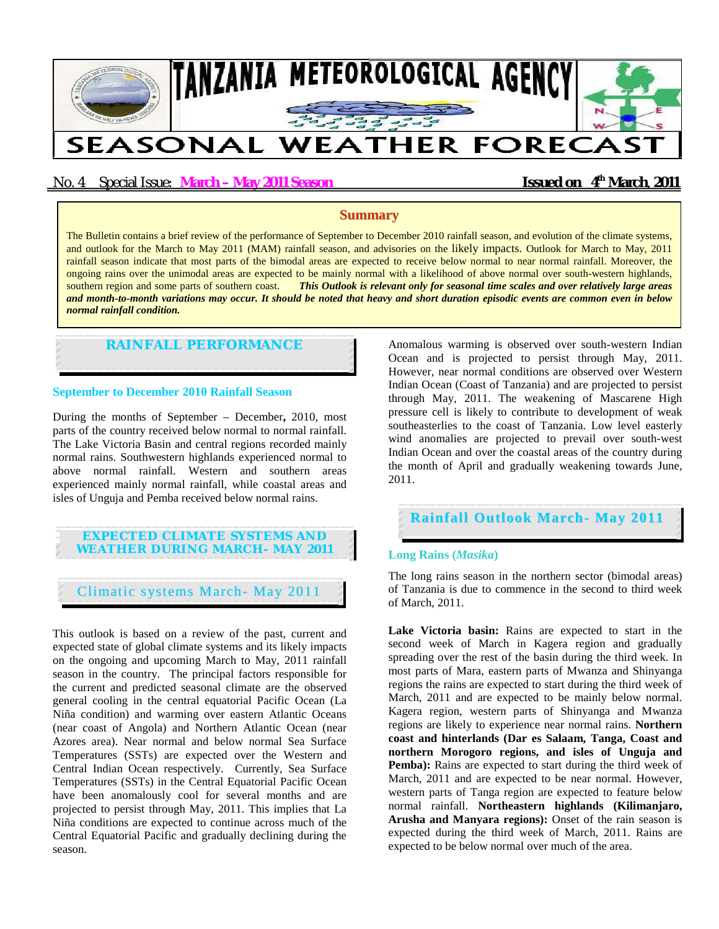

# No. 4 Special Issue: **March – May 2011 Season Issued on 4<sup>th</sup> March**, **2011**

### **Summary**

The Bulletin contains a brief review of the performance of September to December 2010 rainfall season, and evolution of the climate systems, and outlook for the March to May 2011 (MAM) rainfall season, and advisories on the likely impacts. Outlook for March to May, 2011 rainfall season indicate that most parts of the bimodal areas are expected to receive below normal to near normal rainfall. Moreover, the ongoing rains over the unimodal areas are expected to be mainly normal with a likelihood of above normal over south-western highlands, southern region and some parts of southern coast. *This Outlook is relevant only for seasonal time scales and over relatively large areas and month-to-month variations may occur. It should be noted that heavy and short duration episodic events are common even in below normal rainfall condition.*

## **RAINFALL PERFORMANCE**

#### **September to December 2010 Rainfall Season**

During the months of September – December**,** 2010, most parts of the country received below normal to normal rainfall. The Lake Victoria Basin and central regions recorded mainly normal rains. Southwestern highlands experienced normal to above normal rainfall. Western and southern areas experienced mainly normal rainfall, while coastal areas and isles of Unguja and Pemba received below normal rains.

# **EXPECTED CLIMATE SYSTEMS AND WEATHER DURING MARCH- MAY 2011**

Climatic systems March- May 2011

This outlook is based on a review of the past, current and expected state of global climate systems and its likely impacts on the ongoing and upcoming March to May, 2011 rainfall season in the country. The principal factors responsible for the current and predicted seasonal climate are the observed general cooling in the central equatorial Pacific Ocean (La Niña condition) and warming over eastern Atlantic Oceans (near coast of Angola) and Northern Atlantic Ocean (near Azores area). Near normal and below normal Sea Surface Temperatures (SSTs) are expected over the Western and Central Indian Ocean respectively. Currently, Sea Surface Temperatures (SSTs) in the Central Equatorial Pacific Ocean have been anomalously cool for several months and are projected to persist through May, 2011. This implies that La Niña conditions are expected to continue across much of the Central Equatorial Pacific and gradually declining during the season.

Anomalous warming is observed over south-western Indian Ocean and is projected to persist through May, 2011. However, near normal conditions are observed over Western Indian Ocean (Coast of Tanzania) and are projected to persist through May, 2011. The weakening of Mascarene High pressure cell is likely to contribute to development of weak southeasterlies to the coast of Tanzania. Low level easterly wind anomalies are projected to prevail over south-west Indian Ocean and over the coastal areas of the country during the month of April and gradually weakening towards June, 2011.

## **Rainfall Outlook March- May 2011**

#### **Long Rains (***Masika***)**

The long rains season in the northern sector (bimodal areas) of Tanzania is due to commence in the second to third week of March, 2011.

**Lake Victoria basin:** Rains are expected to start in the second week of March in Kagera region and gradually spreading over the rest of the basin during the third week. In most parts of Mara, eastern parts of Mwanza and Shinyanga regions the rains are expected to start during the third week of March, 2011 and are expected to be mainly below normal. Kagera region, western parts of Shinyanga and Mwanza regions are likely to experience near normal rains. **Northern coast and hinterlands (Dar es Salaam, Tanga, Coast and northern Morogoro regions, and isles of Unguja and Pemba):** Rains are expected to start during the third week of March, 2011 and are expected to be near normal. However, western parts of Tanga region are expected to feature below normal rainfall. **Northeastern highlands (Kilimanjaro, Arusha and Manyara regions):** Onset of the rain season is expected during the third week of March, 2011. Rains are expected to be below normal over much of the area.